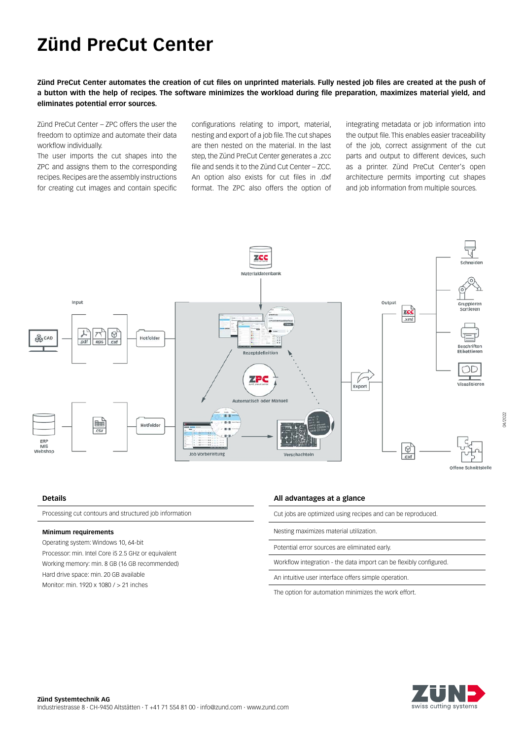# **Zünd PreCut Center**

**Zünd PreCut Center automates the creation of cut files on unprinted materials. Fully nested job files are created at the push of a button with the help of recipes. The software minimizes the workload during file preparation, maximizes material yield, and eliminates potential error sources.**

Zünd PreCut Center – ZPC offers the user the freedom to optimize and automate their data workflow individually.

The user imports the cut shapes into the ZPC and assigns them to the corresponding recipes. Recipes are the assembly instructions for creating cut images and contain specific configurations relating to import, material, nesting and export of a job file. The cut shapes are then nested on the material. In the last step, the Zünd PreCut Center generates a .zcc file and sends it to the Zünd Cut Center – ZCC. An option also exists for cut files in .dxf format. The ZPC also offers the option of

integrating metadata or job information into the output file. This enables easier traceability of the job, correct assignment of the cut parts and output to different devices, such as a printer. Zünd PreCut Center's open architecture permits importing cut shapes and job information from multiple sources.



### **Details**

Processing cut contours and structured job information

### **Minimum requirements**

Operating system: Windows 10, 64-bit Processor: min. Intel Core i5 2.5 GHz or equivalent Working memory: min. 8 GB (16 GB recommended) Hard drive space: min. 20 GB available Monitor: min. 1920 x 1080 / > 21 inches

#### **All advantages at a glance**

|  |  |  | Cut jobs are optimized using recipes and can be reproduced. |  |
|--|--|--|-------------------------------------------------------------|--|
|  |  |  |                                                             |  |

Nesting maximizes material utilization.

Potential error sources are eliminated early.

Workflow integration - the data import can be flexibly configured.

An intuitive user interface offers simple operation.

The option for automation minimizes the work effort.